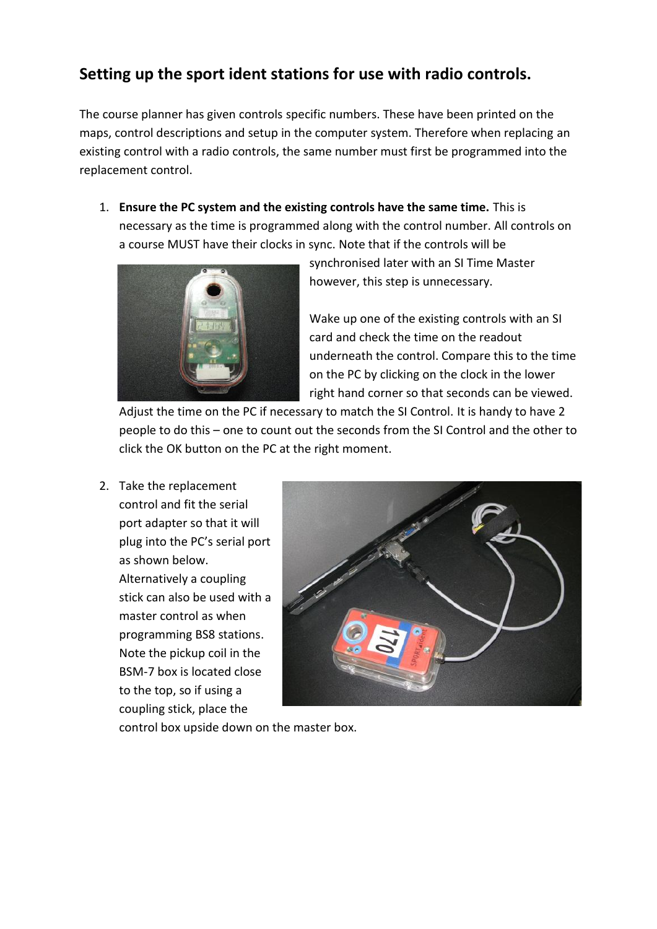## **Setting up the sport ident stations for use with radio controls.**

The course planner has given controls specific numbers. These have been printed on the maps, control descriptions and setup in the computer system. Therefore when replacing an existing control with a radio controls, the same number must first be programmed into the replacement control.

1. **Ensure the PC system and the existing controls have the same time.** This is necessary as the time is programmed along with the control number. All controls on a course MUST have their clocks in sync. Note that if the controls will be



synchronised later with an SI Time Master however, this step is unnecessary.

Wake up one of the existing controls with an SI card and check the time on the readout underneath the control. Compare this to the time on the PC by clicking on the clock in the lower right hand corner so that seconds can be viewed.

Adjust the time on the PC if necessary to match the SI Control. It is handy to have 2 people to do this – one to count out the seconds from the SI Control and the other to click the OK button on the PC at the right moment.

2. Take the replacement control and fit the serial port adapter so that it will plug into the PC's serial port as shown below. Alternatively a coupling stick can also be used with a master control as when programming BS8 stations. Note the pickup coil in the BSM-7 box is located close to the top, so if using a coupling stick, place the



control box upside down on the master box.